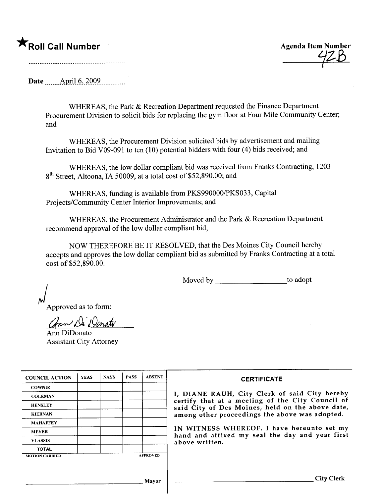## \*Roll Call Number Agenda Item Number

 $42B$ 

Date \_\_\_\_\_ April 6, 2009.\_\_\_\_\_\_\_.

WHEREAS, the Park & Recreation Department requested the Finance Department Procurement Division to solicit bids for replacing the gym floor at Four Mile Community Center; and

WHEREAS, the Procurement Division solicited bids by advertisement and mailing Invitation to Bid V09-09l to ten (10) potential bidders with four (4) bids received; and

WHEREAS, the low dollar compliant bid was received from Franks Contracting, 1203 8<sup>th</sup> Street, Altoona, IA 50009, at a total cost of \$52,890.00; and

WHEREAS, funding is available from PKS990000/PKS033, Capital Projects/Community Center Interior Improvements; and

WHEREAS, the Procurement Administrator and the Park & Recreation Department recommend approval of the low dollar compliant bid,

NOW THEREFORE BE IT RESOLVED, that the Des Moines City Council hereby accepts and approves the low dollar compliant bid as submitted by Franks Contracting at a total cost of \$52,890.00.

Moved by \_\_\_\_\_\_\_\_\_\_\_\_\_\_\_\_\_\_\_\_\_\_\_\_\_\_\_to adopt

Approved as to form:

ann Di Donato

Ann DiDonato Assistant City Attorney

| <b>COUNCIL ACTION</b> | <b>YEAS</b> | <b>NAYS</b> | <b>PASS</b> | <b>ABSENT</b>   | <b>CERTIFICATE</b>                                                                                   |
|-----------------------|-------------|-------------|-------------|-----------------|------------------------------------------------------------------------------------------------------|
| <b>COWNIE</b>         |             |             |             |                 |                                                                                                      |
| <b>COLEMAN</b>        |             |             |             |                 | I, DIANE RAUH, City Clerk of said City hereby                                                        |
| <b>HENSLEY</b>        |             |             |             |                 | certify that at a meeting of the City Council of<br>said City of Des Moines, held on the above date, |
| <b>KIERNAN</b>        |             |             |             |                 | among other proceedings the above was adopted.                                                       |
| <b>MAHAFFEY</b>       |             |             |             |                 |                                                                                                      |
| <b>MEYER</b>          |             |             |             |                 | IN WITNESS WHEREOF, I have hereunto set my<br>hand and affixed my seal the day and year first        |
| <b>VLASSIS</b>        |             |             |             |                 | above written.                                                                                       |
| <b>TOTAL</b>          |             |             |             |                 |                                                                                                      |
| <b>MOTION CARRIED</b> |             |             |             | <b>APPROVED</b> |                                                                                                      |
|                       |             |             |             |                 |                                                                                                      |
|                       |             |             |             | <b>Mayor</b>    | <b>City Clerk</b>                                                                                    |